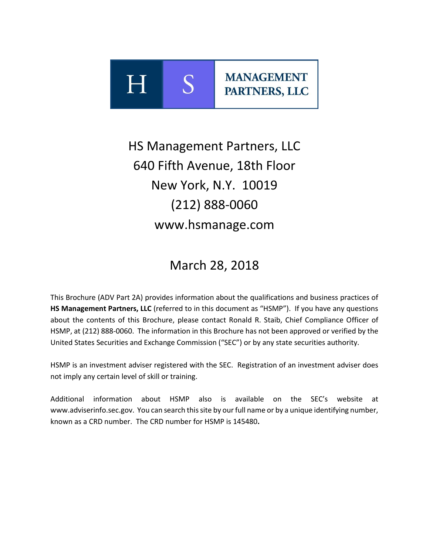

# HS Management Partners, LLC 640 Fifth Avenue, 18th Floor New York, N.Y. 10019 (212) 888-0060 www.hsmanage.com

## March 28, 2018

This Brochure (ADV Part 2A) provides information about the qualifications and business practices of **HS Management Partners, LLC** (referred to in this document as "HSMP"). If you have any questions about the contents of this Brochure, please contact Ronald R. Staib, Chief Compliance Officer of HSMP, at (212) 888-0060. The information in this Brochure has not been approved or verified by the United States Securities and Exchange Commission ("SEC") or by any state securities authority.

HSMP is an investment adviser registered with the SEC. Registration of an investment adviser does not imply any certain level of skill or training.

Additional information about HSMP also is available on the SEC's website at www.adviserinfo.sec.gov. You can search this site by our full name or by a unique identifying number, known as a CRD number. The CRD number for HSMP is 145480**.**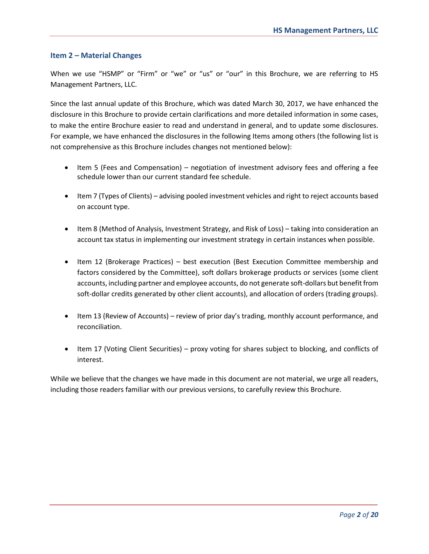#### **Item 2 – Material Changes**

When we use "HSMP" or "Firm" or "we" or "us" or "our" in this Brochure, we are referring to HS Management Partners, LLC.

Since the last annual update of this Brochure, which was dated March 30, 2017, we have enhanced the disclosure in this Brochure to provide certain clarifications and more detailed information in some cases, to make the entire Brochure easier to read and understand in general, and to update some disclosures. For example, we have enhanced the disclosures in the following Items among others (the following list is not comprehensive as this Brochure includes changes not mentioned below):

- Item 5 (Fees and Compensation) negotiation of investment advisory fees and offering a fee schedule lower than our current standard fee schedule.
- Item 7 (Types of Clients) advising pooled investment vehicles and right to reject accounts based on account type.
- Item 8 (Method of Analysis, Investment Strategy, and Risk of Loss) taking into consideration an account tax status in implementing our investment strategy in certain instances when possible.
- Item 12 (Brokerage Practices) best execution (Best Execution Committee membership and factors considered by the Committee), soft dollars brokerage products or services (some client accounts, including partner and employee accounts, do not generate soft-dollars but benefit from soft-dollar credits generated by other client accounts), and allocation of orders (trading groups).
- Item 13 (Review of Accounts) review of prior day's trading, monthly account performance, and reconciliation.
- Item 17 (Voting Client Securities) proxy voting for shares subject to blocking, and conflicts of interest.

While we believe that the changes we have made in this document are not material, we urge all readers, including those readers familiar with our previous versions, to carefully review this Brochure.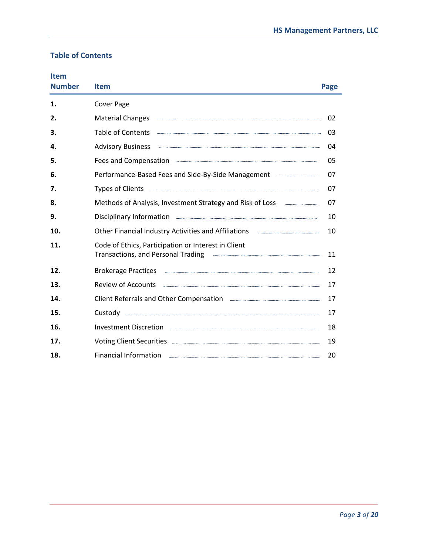### **Table of Contents**

| <b>Item</b><br><b>Number</b> | <b>Item</b>                                                                                                                                                                                                                          | Page |
|------------------------------|--------------------------------------------------------------------------------------------------------------------------------------------------------------------------------------------------------------------------------------|------|
| 1.                           | <b>Cover Page</b>                                                                                                                                                                                                                    |      |
| 2.                           | <b>Material Changes</b>                                                                                                                                                                                                              | 02   |
| З.                           | <b>Table of Contents</b>                                                                                                                                                                                                             | 03   |
| 4.                           | <b>Advisory Business</b>                                                                                                                                                                                                             | 04   |
| 5.                           | Fees and Compensation <b>Example 2018</b> Fees and Compensation                                                                                                                                                                      | 05   |
| 6.                           | Performance-Based Fees and Side-By-Side Management <b>Election Constrained Autom</b> Performance-                                                                                                                                    | 07   |
| 7.                           | Types of Clients <b>Commission Construction Constant Construction Construction Construction</b>                                                                                                                                      | 07   |
| 8.                           | Methods of Analysis, Investment Strategy and Risk of Loss <b>Commissions</b> 2014                                                                                                                                                    | 07   |
| 9.                           | Disciplinary Information <b>Election</b> 2014 12:00 12:00 12:00 12:00 12:00 12:00 12:00 12:00 12:00 12:00 12:00 12:00 12:00 12:00 12:00 12:00 12:00 12:00 12:00 12:00 12:00 12:00 12:00 12:00 12:00 12:00 12:00 12:00 12:00 12:00 1  | 10   |
| 10.                          | Other Financial Industry Activities and Affiliations <b>Election Control</b> and Affiliations                                                                                                                                        | 10   |
| 11.                          | Code of Ethics, Participation or Interest in Client<br><b>Transactions, and Personal Trading</b>                                                                                                                                     | 11   |
| 12.                          | Brokerage Practices <b>with the contract of the contract of the contract of the contract of the contract of the contract of the contract of the contract of the contract of the contract of the contract of the contract of the </b> | 12   |
| 13.                          |                                                                                                                                                                                                                                      | 17   |
| 14.                          | Client Referrals and Other Compensation <b>Engineering and Structure Componsation</b>                                                                                                                                                | 17   |
| 15.                          |                                                                                                                                                                                                                                      | 17   |
| 16.                          |                                                                                                                                                                                                                                      | 18   |
| 17.                          | Voting Client Securities <b>www.arenamin.communities</b> with the second securities and securities with the securities with the second securities with the second second second second second second second second second second se  | 19   |
| 18.                          | <b>Financial Information</b>                                                                                                                                                                                                         | 20   |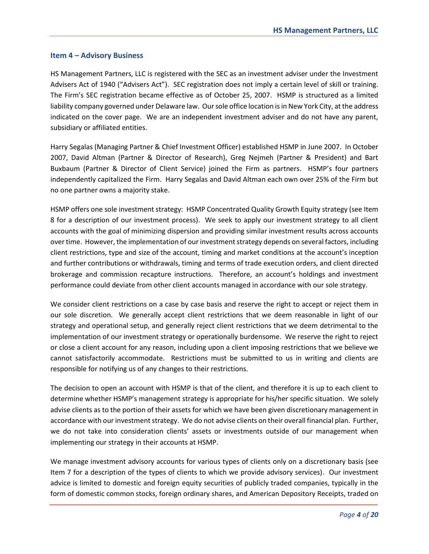#### **Item 4 – Advisory Business**

HS Management Partners, LLC is registered with the SEC as an investment adviser under the Investment Advisers Act of 1940 ("Advisers Act"). SEC registration does not imply a certain level of skill or training. The Firm's SEC registration became effective as of October 25, 2007. HSMP is structured as a limited liability company governed under Delaware law. Our sole office location is in New York City, at the address indicated on the cover page. We are an independent investment adviser and do not have any parent, subsidiary or affiliated entities.

Harry Segalas (Managing Partner & Chief Investment Officer) established HSMP in June 2007. In October 2007, David Altman (Partner & Director of Research), Greg Nejmeh (Partner & President) and Bart Buxbaum (Partner & Director of Client Service) joined the Firm as partners. HSMP's four partners independently capitalized the Firm. Harry Segalas and David Altman each own over 25% of the Firm but no one partner owns a majority stake.

HSMP offers one sole investment strategy: HSMP Concentrated Quality Growth Equity strategy (see Item 8 for a description of our investment process). We seek to apply our investment strategy to all client accounts with the goal of minimizing dispersion and providing similar investment results across accounts over time. However, the implementation of our investment strategy depends on several factors, including client restrictions, type and size of the account, timing and market conditions at the account's inception and further contributions or withdrawals, timing and terms of trade execution orders, and client directed brokerage and commission recapture instructions. Therefore, an account's holdings and investment performance could deviate from other client accounts managed in accordance with our sole strategy.

We consider client restrictions on a case by case basis and reserve the right to accept or reject them in our sole discretion. We generally accept client restrictions that we deem reasonable in light of our strategy and operational setup, and generally reject client restrictions that we deem detrimental to the implementation of our investment strategy or operationally burdensome. We reserve the right to reject or close a client account for any reason, including upon a client imposing restrictions that we believe we cannot satisfactorily accommodate. Restrictions must be submitted to us in writing and clients are responsible for notifying us of any changes to their restrictions.

The decision to open an account with HSMP is that of the client, and therefore it is up to each client to determine whether HSMP's management strategy is appropriate for his/her specific situation. We solely advise clients as to the portion of their assets for which we have been given discretionary management in accordance with our investment strategy. We do not advise clients on their overall financial plan. Further, we do not take into consideration clients' assets or investments outside of our management when implementing our strategy in their accounts at HSMP.

We manage investment advisory accounts for various types of clients only on a discretionary basis (see Item 7 for a description of the types of clients to which we provide advisory services). Our investment advice is limited to domestic and foreign equity securities of publicly traded companies, typically in the form of domestic common stocks, foreign ordinary shares, and American Depository Receipts, traded on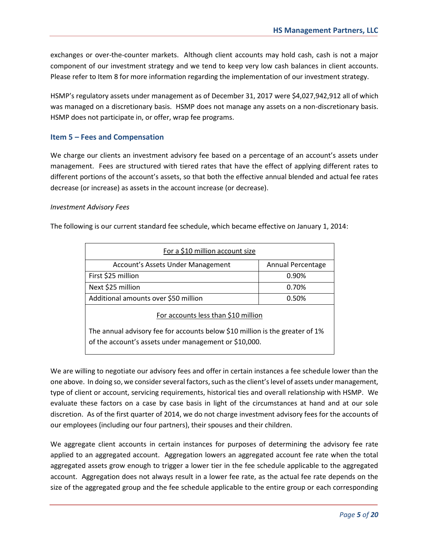exchanges or over-the-counter markets. Although client accounts may hold cash, cash is not a major component of our investment strategy and we tend to keep very low cash balances in client accounts. Please refer to Item 8 for more information regarding the implementation of our investment strategy.

HSMP's regulatory assets under management as of December 31, 2017 were \$4,027,942,912 all of which was managed on a discretionary basis. HSMP does not manage any assets on a non-discretionary basis. HSMP does not participate in, or offer, wrap fee programs.

#### **Item 5 – Fees and Compensation**

We charge our clients an investment advisory fee based on a percentage of an account's assets under management. Fees are structured with tiered rates that have the effect of applying different rates to different portions of the account's assets, so that both the effective annual blended and actual fee rates decrease (or increase) as assets in the account increase (or decrease).

#### *Investment Advisory Fees*

The following is our current standard fee schedule, which became effective on January 1, 2014:

| For a \$10 million account size                                                                                                                                              |                   |  |  |
|------------------------------------------------------------------------------------------------------------------------------------------------------------------------------|-------------------|--|--|
| Account's Assets Under Management                                                                                                                                            | Annual Percentage |  |  |
| First \$25 million                                                                                                                                                           | 0.90%             |  |  |
| Next \$25 million                                                                                                                                                            | 0.70%             |  |  |
| Additional amounts over \$50 million                                                                                                                                         | 0.50%             |  |  |
| For accounts less than \$10 million<br>The annual advisory fee for accounts below \$10 million is the greater of 1%<br>of the account's assets under management or \$10,000. |                   |  |  |

We are willing to negotiate our advisory fees and offer in certain instances a fee schedule lower than the one above. In doing so, we consider several factors, such as the client's level of assets under management, type of client or account, servicing requirements, historical ties and overall relationship with HSMP. We evaluate these factors on a case by case basis in light of the circumstances at hand and at our sole discretion. As of the first quarter of 2014, we do not charge investment advisory fees for the accounts of our employees (including our four partners), their spouses and their children.

We aggregate client accounts in certain instances for purposes of determining the advisory fee rate applied to an aggregated account. Aggregation lowers an aggregated account fee rate when the total aggregated assets grow enough to trigger a lower tier in the fee schedule applicable to the aggregated account. Aggregation does not always result in a lower fee rate, as the actual fee rate depends on the size of the aggregated group and the fee schedule applicable to the entire group or each corresponding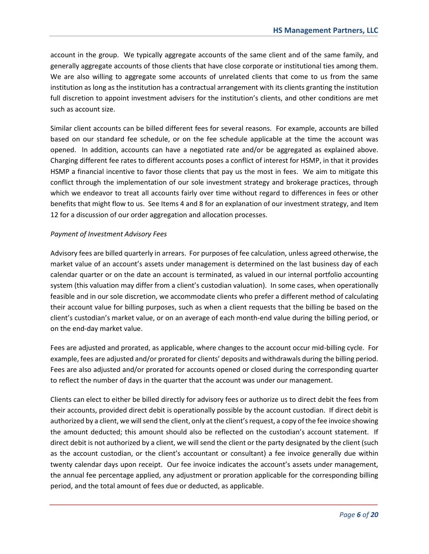account in the group. We typically aggregate accounts of the same client and of the same family, and generally aggregate accounts of those clients that have close corporate or institutional ties among them. We are also willing to aggregate some accounts of unrelated clients that come to us from the same institution as long as the institution has a contractual arrangement with its clients granting the institution full discretion to appoint investment advisers for the institution's clients, and other conditions are met such as account size.

Similar client accounts can be billed different fees for several reasons. For example, accounts are billed based on our standard fee schedule, or on the fee schedule applicable at the time the account was opened. In addition, accounts can have a negotiated rate and/or be aggregated as explained above. Charging different fee rates to different accounts poses a conflict of interest for HSMP, in that it provides HSMP a financial incentive to favor those clients that pay us the most in fees. We aim to mitigate this conflict through the implementation of our sole investment strategy and brokerage practices, through which we endeavor to treat all accounts fairly over time without regard to differences in fees or other benefits that might flow to us. See Items 4 and 8 for an explanation of our investment strategy, and Item 12 for a discussion of our order aggregation and allocation processes.

#### *Payment of Investment Advisory Fees*

Advisory fees are billed quarterly in arrears. For purposes of fee calculation, unless agreed otherwise, the market value of an account's assets under management is determined on the last business day of each calendar quarter or on the date an account is terminated, as valued in our internal portfolio accounting system (this valuation may differ from a client's custodian valuation). In some cases, when operationally feasible and in our sole discretion, we accommodate clients who prefer a different method of calculating their account value for billing purposes, such as when a client requests that the billing be based on the client's custodian's market value, or on an average of each month-end value during the billing period, or on the end-day market value.

Fees are adjusted and prorated, as applicable, where changes to the account occur mid-billing cycle. For example, fees are adjusted and/or prorated for clients' deposits and withdrawals during the billing period. Fees are also adjusted and/or prorated for accounts opened or closed during the corresponding quarter to reflect the number of days in the quarter that the account was under our management.

Clients can elect to either be billed directly for advisory fees or authorize us to direct debit the fees from their accounts, provided direct debit is operationally possible by the account custodian. If direct debit is authorized by a client, we will send the client, only at the client's request, a copy of the fee invoice showing the amount deducted; this amount should also be reflected on the custodian's account statement. If direct debit is not authorized by a client, we will send the client or the party designated by the client (such as the account custodian, or the client's accountant or consultant) a fee invoice generally due within twenty calendar days upon receipt. Our fee invoice indicates the account's assets under management, the annual fee percentage applied, any adjustment or proration applicable for the corresponding billing period, and the total amount of fees due or deducted, as applicable.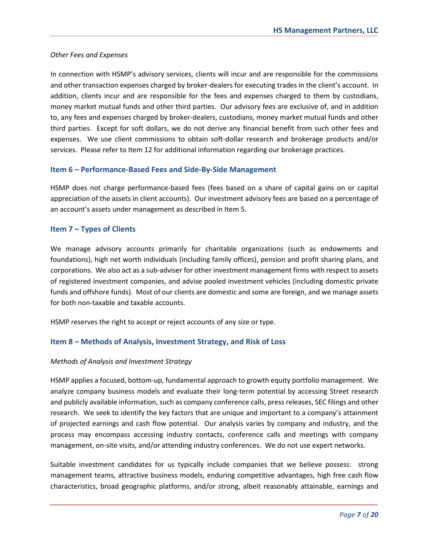#### *Other Fees and Expenses*

In connection with HSMP's advisory services, clients will incur and are responsible for the commissions and other transaction expenses charged by broker-dealers for executing trades in the client's account. In addition, clients incur and are responsible for the fees and expenses charged to them by custodians, money market mutual funds and other third parties. Our advisory fees are exclusive of, and in addition to, any fees and expenses charged by broker-dealers, custodians, money market mutual funds and other third parties. Except for soft dollars, we do not derive any financial benefit from such other fees and expenses. We use client commissions to obtain soft-dollar research and brokerage products and/or services. Please refer to Item 12 for additional information regarding our brokerage practices.

#### **Item 6 – Performance-Based Fees and Side-By-Side Management**

HSMP does not charge performance-based fees (fees based on a share of capital gains on or capital appreciation of the assets in client accounts). Our investment advisory fees are based on a percentage of an account's assets under management as described in Item 5.

#### **Item 7 – Types of Clients**

We manage advisory accounts primarily for charitable organizations (such as endowments and foundations), high net worth individuals (including family offices), pension and profit sharing plans, and corporations. We also act as a sub-adviser for other investment management firms with respect to assets of registered investment companies, and advise pooled investment vehicles (including domestic private funds and offshore funds). Most of our clients are domestic and some are foreign, and we manage assets for both non-taxable and taxable accounts.

HSMP reserves the right to accept or reject accounts of any size or type.

#### **Item 8 – Methods of Analysis, Investment Strategy, and Risk of Loss**

#### *Methods of Analysis and Investment Strategy*

HSMP applies a focused, bottom-up, fundamental approach to growth equity portfolio management. We analyze company business models and evaluate their long-term potential by accessing Street research and publicly available information, such as company conference calls, press releases, SEC filings and other research. We seek to identify the key factors that are unique and important to a company's attainment of projected earnings and cash flow potential. Our analysis varies by company and industry, and the process may encompass accessing industry contacts, conference calls and meetings with company management, on-site visits, and/or attending industry conferences. We do not use expert networks.

Suitable investment candidates for us typically include companies that we believe possess: strong management teams, attractive business models, enduring competitive advantages, high free cash flow characteristics, broad geographic platforms, and/or strong, albeit reasonably attainable, earnings and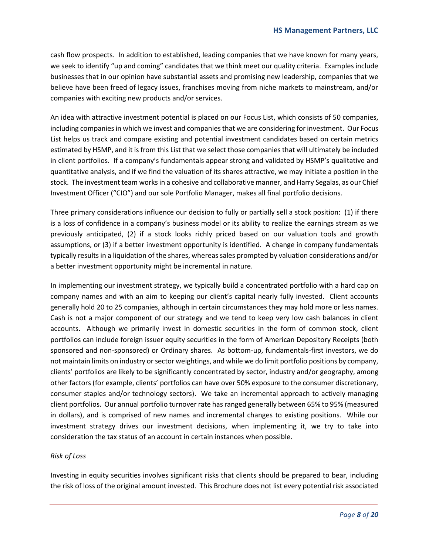cash flow prospects. In addition to established, leading companies that we have known for many years, we seek to identify "up and coming" candidates that we think meet our quality criteria. Examples include businesses that in our opinion have substantial assets and promising new leadership, companies that we believe have been freed of legacy issues, franchises moving from niche markets to mainstream, and/or companies with exciting new products and/or services.

An idea with attractive investment potential is placed on our Focus List, which consists of 50 companies, including companies in which we invest and companies that we are considering for investment. Our Focus List helps us track and compare existing and potential investment candidates based on certain metrics estimated by HSMP, and it is from this List that we select those companies that will ultimately be included in client portfolios. If a company's fundamentals appear strong and validated by HSMP's qualitative and quantitative analysis, and if we find the valuation of its shares attractive, we may initiate a position in the stock. The investment team works in a cohesive and collaborative manner, and Harry Segalas, as our Chief Investment Officer ("CIO") and our sole Portfolio Manager, makes all final portfolio decisions.

Three primary considerations influence our decision to fully or partially sell a stock position: (1) if there is a loss of confidence in a company's business model or its ability to realize the earnings stream as we previously anticipated, (2) if a stock looks richly priced based on our valuation tools and growth assumptions, or (3) if a better investment opportunity is identified. A change in company fundamentals typically results in a liquidation of the shares, whereas sales prompted by valuation considerations and/or a better investment opportunity might be incremental in nature.

In implementing our investment strategy, we typically build a concentrated portfolio with a hard cap on company names and with an aim to keeping our client's capital nearly fully invested. Client accounts generally hold 20 to 25 companies, although in certain circumstances they may hold more or less names. Cash is not a major component of our strategy and we tend to keep very low cash balances in client accounts. Although we primarily invest in domestic securities in the form of common stock, client portfolios can include foreign issuer equity securities in the form of American Depository Receipts (both sponsored and non-sponsored) or Ordinary shares. As bottom-up, fundamentals-first investors, we do not maintain limits on industry or sector weightings, and while we do limit portfolio positions by company, clients' portfolios are likely to be significantly concentrated by sector, industry and/or geography, among other factors (for example, clients' portfolios can have over 50% exposure to the consumer discretionary, consumer staples and/or technology sectors). We take an incremental approach to actively managing client portfolios. Our annual portfolio turnover rate has ranged generally between 65% to 95% (measured in dollars), and is comprised of new names and incremental changes to existing positions. While our investment strategy drives our investment decisions, when implementing it, we try to take into consideration the tax status of an account in certain instances when possible.

#### *Risk of Loss*

Investing in equity securities involves significant risks that clients should be prepared to bear, including the risk of loss of the original amount invested. This Brochure does not list every potential risk associated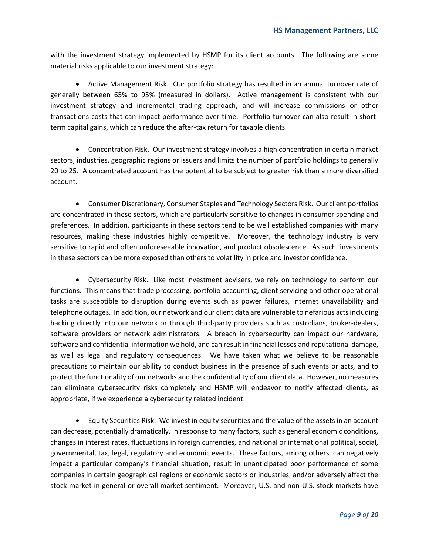with the investment strategy implemented by HSMP for its client accounts. The following are some material risks applicable to our investment strategy:

 Active Management Risk. Our portfolio strategy has resulted in an annual turnover rate of generally between 65% to 95% (measured in dollars). Active management is consistent with our investment strategy and incremental trading approach, and will increase commissions or other transactions costs that can impact performance over time. Portfolio turnover can also result in shortterm capital gains, which can reduce the after-tax return for taxable clients.

 Concentration Risk. Our investment strategy involves a high concentration in certain market sectors, industries, geographic regions or issuers and limits the number of portfolio holdings to generally 20 to 25. A concentrated account has the potential to be subject to greater risk than a more diversified account.

 Consumer Discretionary, Consumer Staples and Technology Sectors Risk. Our client portfolios are concentrated in these sectors, which are particularly sensitive to changes in consumer spending and preferences. In addition, participants in these sectors tend to be well established companies with many resources, making these industries highly competitive. Moreover, the technology industry is very sensitive to rapid and often unforeseeable innovation, and product obsolescence. As such, investments in these sectors can be more exposed than others to volatility in price and investor confidence.

 Cybersecurity Risk. Like most investment advisers, we rely on technology to perform our functions. This means that trade processing, portfolio accounting, client servicing and other operational tasks are susceptible to disruption during events such as power failures, Internet unavailability and telephone outages. In addition, our network and our client data are vulnerable to nefarious acts including hacking directly into our network or through third-party providers such as custodians, broker-dealers, software providers or network administrators. A breach in cybersecurity can impact our hardware, software and confidential information we hold, and can result in financial losses and reputational damage, as well as legal and regulatory consequences. We have taken what we believe to be reasonable precautions to maintain our ability to conduct business in the presence of such events or acts, and to protect the functionality of our networks and the confidentiality of our client data. However, no measures can eliminate cybersecurity risks completely and HSMP will endeavor to notify affected clients, as appropriate, if we experience a cybersecurity related incident.

 Equity Securities Risk. We invest in equity securities and the value of the assets in an account can decrease, potentially dramatically, in response to many factors, such as general economic conditions, changes in interest rates, fluctuations in foreign currencies, and national or international political, social, governmental, tax, legal, regulatory and economic events. These factors, among others, can negatively impact a particular company's financial situation, result in unanticipated poor performance of some companies in certain geographical regions or economic sectors or industries, and/or adversely affect the stock market in general or overall market sentiment. Moreover, U.S. and non-U.S. stock markets have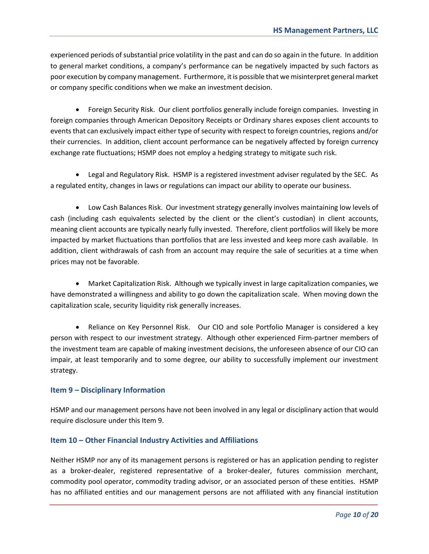experienced periods of substantial price volatility in the past and can do so again in the future. In addition to general market conditions, a company's performance can be negatively impacted by such factors as poor execution by company management. Furthermore, it is possible that we misinterpret general market or company specific conditions when we make an investment decision.

 Foreign Security Risk. Our client portfolios generally include foreign companies. Investing in foreign companies through American Depository Receipts or Ordinary shares exposes client accounts to events that can exclusively impact either type of security with respect to foreign countries, regions and/or their currencies. In addition, client account performance can be negatively affected by foreign currency exchange rate fluctuations; HSMP does not employ a hedging strategy to mitigate such risk.

 Legal and Regulatory Risk. HSMP is a registered investment adviser regulated by the SEC. As a regulated entity, changes in laws or regulations can impact our ability to operate our business.

 Low Cash Balances Risk. Our investment strategy generally involves maintaining low levels of cash (including cash equivalents selected by the client or the client's custodian) in client accounts, meaning client accounts are typically nearly fully invested. Therefore, client portfolios will likely be more impacted by market fluctuations than portfolios that are less invested and keep more cash available. In addition, client withdrawals of cash from an account may require the sale of securities at a time when prices may not be favorable.

 Market Capitalization Risk. Although we typically invest in large capitalization companies, we have demonstrated a willingness and ability to go down the capitalization scale. When moving down the capitalization scale, security liquidity risk generally increases.

• Reliance on Key Personnel Risk. Our CIO and sole Portfolio Manager is considered a key person with respect to our investment strategy. Although other experienced Firm-partner members of the investment team are capable of making investment decisions, the unforeseen absence of our CIO can impair, at least temporarily and to some degree, our ability to successfully implement our investment strategy.

#### **Item 9 – Disciplinary Information**

HSMP and our management persons have not been involved in any legal or disciplinary action that would require disclosure under this Item 9.

#### **Item 10 – Other Financial Industry Activities and Affiliations**

Neither HSMP nor any of its management persons is registered or has an application pending to register as a broker-dealer, registered representative of a broker-dealer, futures commission merchant, commodity pool operator, commodity trading advisor, or an associated person of these entities. HSMP has no affiliated entities and our management persons are not affiliated with any financial institution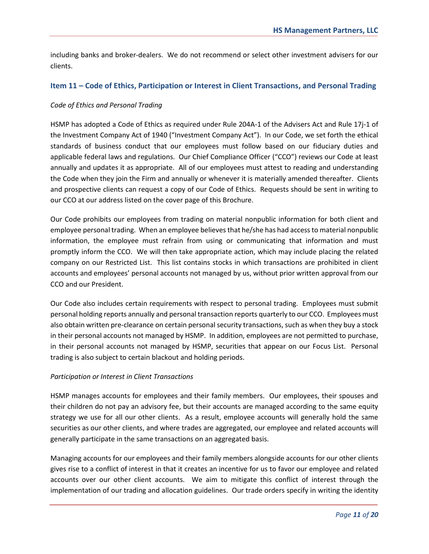including banks and broker-dealers. We do not recommend or select other investment advisers for our clients.

#### **Item 11 – Code of Ethics, Participation or Interest in Client Transactions, and Personal Trading**

#### *Code of Ethics and Personal Trading*

HSMP has adopted a Code of Ethics as required under Rule 204A-1 of the Advisers Act and Rule 17j-1 of the Investment Company Act of 1940 ("Investment Company Act"). In our Code, we set forth the ethical standards of business conduct that our employees must follow based on our fiduciary duties and applicable federal laws and regulations. Our Chief Compliance Officer ("CCO") reviews our Code at least annually and updates it as appropriate. All of our employees must attest to reading and understanding the Code when they join the Firm and annually or whenever it is materially amended thereafter. Clients and prospective clients can request a copy of our Code of Ethics. Requests should be sent in writing to our CCO at our address listed on the cover page of this Brochure.

Our Code prohibits our employees from trading on material nonpublic information for both client and employee personal trading. When an employee believes that he/she has had access to material nonpublic information, the employee must refrain from using or communicating that information and must promptly inform the CCO. We will then take appropriate action, which may include placing the related company on our Restricted List. This list contains stocks in which transactions are prohibited in client accounts and employees' personal accounts not managed by us, without prior written approval from our CCO and our President.

Our Code also includes certain requirements with respect to personal trading. Employees must submit personal holding reports annually and personal transaction reports quarterly to our CCO. Employees must also obtain written pre-clearance on certain personal security transactions, such as when they buy a stock in their personal accounts not managed by HSMP. In addition, employees are not permitted to purchase, in their personal accounts not managed by HSMP, securities that appear on our Focus List. Personal trading is also subject to certain blackout and holding periods.

#### *Participation or Interest in Client Transactions*

HSMP manages accounts for employees and their family members. Our employees, their spouses and their children do not pay an advisory fee, but their accounts are managed according to the same equity strategy we use for all our other clients. As a result, employee accounts will generally hold the same securities as our other clients, and where trades are aggregated, our employee and related accounts will generally participate in the same transactions on an aggregated basis.

Managing accounts for our employees and their family members alongside accounts for our other clients gives rise to a conflict of interest in that it creates an incentive for us to favor our employee and related accounts over our other client accounts. We aim to mitigate this conflict of interest through the implementation of our trading and allocation guidelines. Our trade orders specify in writing the identity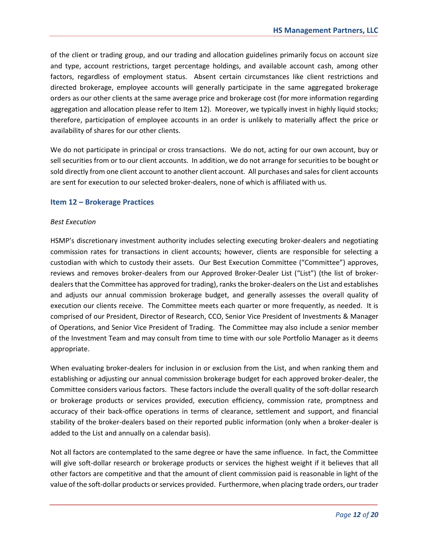of the client or trading group, and our trading and allocation guidelines primarily focus on account size and type, account restrictions, target percentage holdings, and available account cash, among other factors, regardless of employment status. Absent certain circumstances like client restrictions and directed brokerage, employee accounts will generally participate in the same aggregated brokerage orders as our other clients at the same average price and brokerage cost (for more information regarding aggregation and allocation please refer to Item 12). Moreover, we typically invest in highly liquid stocks; therefore, participation of employee accounts in an order is unlikely to materially affect the price or availability of shares for our other clients.

We do not participate in principal or cross transactions. We do not, acting for our own account, buy or sell securities from or to our client accounts. In addition, we do not arrange for securities to be bought or sold directly from one client account to another client account. All purchases and sales for client accounts are sent for execution to our selected broker-dealers, none of which is affiliated with us.

#### **Item 12 – Brokerage Practices**

#### *Best Execution*

HSMP's discretionary investment authority includes selecting executing broker-dealers and negotiating commission rates for transactions in client accounts; however, clients are responsible for selecting a custodian with which to custody their assets. Our Best Execution Committee ("Committee") approves, reviews and removes broker-dealers from our Approved Broker-Dealer List ("List") (the list of brokerdealers that the Committee has approved for trading), ranks the broker-dealers on the List and establishes and adjusts our annual commission brokerage budget, and generally assesses the overall quality of execution our clients receive. The Committee meets each quarter or more frequently, as needed. It is comprised of our President, Director of Research, CCO, Senior Vice President of Investments & Manager of Operations, and Senior Vice President of Trading. The Committee may also include a senior member of the Investment Team and may consult from time to time with our sole Portfolio Manager as it deems appropriate.

When evaluating broker-dealers for inclusion in or exclusion from the List, and when ranking them and establishing or adjusting our annual commission brokerage budget for each approved broker-dealer, the Committee considers various factors. These factors include the overall quality of the soft-dollar research or brokerage products or services provided, execution efficiency, commission rate, promptness and accuracy of their back-office operations in terms of clearance, settlement and support, and financial stability of the broker-dealers based on their reported public information (only when a broker-dealer is added to the List and annually on a calendar basis).

Not all factors are contemplated to the same degree or have the same influence. In fact, the Committee will give soft-dollar research or brokerage products or services the highest weight if it believes that all other factors are competitive and that the amount of client commission paid is reasonable in light of the value of the soft-dollar products or services provided. Furthermore, when placing trade orders, our trader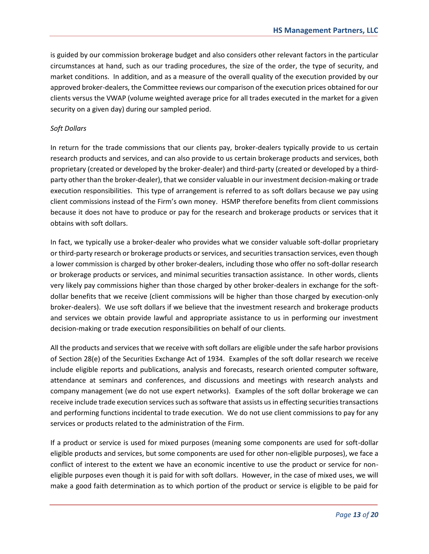is guided by our commission brokerage budget and also considers other relevant factors in the particular circumstances at hand, such as our trading procedures, the size of the order, the type of security, and market conditions. In addition, and as a measure of the overall quality of the execution provided by our approved broker-dealers, the Committee reviews our comparison of the execution prices obtained for our clients versus the VWAP (volume weighted average price for all trades executed in the market for a given security on a given day) during our sampled period.

#### *Soft Dollars*

In return for the trade commissions that our clients pay, broker-dealers typically provide to us certain research products and services, and can also provide to us certain brokerage products and services, both proprietary (created or developed by the broker-dealer) and third-party (created or developed by a thirdparty other than the broker-dealer), that we consider valuable in our investment decision-making or trade execution responsibilities. This type of arrangement is referred to as soft dollars because we pay using client commissions instead of the Firm's own money. HSMP therefore benefits from client commissions because it does not have to produce or pay for the research and brokerage products or services that it obtains with soft dollars.

In fact, we typically use a broker-dealer who provides what we consider valuable soft-dollar proprietary or third-party research or brokerage products or services, and securities transaction services, even though a lower commission is charged by other broker-dealers, including those who offer no soft-dollar research or brokerage products or services, and minimal securities transaction assistance. In other words, clients very likely pay commissions higher than those charged by other broker-dealers in exchange for the softdollar benefits that we receive (client commissions will be higher than those charged by execution-only broker-dealers). We use soft dollars if we believe that the investment research and brokerage products and services we obtain provide lawful and appropriate assistance to us in performing our investment decision-making or trade execution responsibilities on behalf of our clients.

All the products and services that we receive with soft dollars are eligible under the safe harbor provisions of Section 28(e) of the Securities Exchange Act of 1934. Examples of the soft dollar research we receive include eligible reports and publications, analysis and forecasts, research oriented computer software, attendance at seminars and conferences, and discussions and meetings with research analysts and company management (we do not use expert networks). Examples of the soft dollar brokerage we can receive include trade execution services such as software that assists us in effecting securities transactions and performing functions incidental to trade execution. We do not use client commissions to pay for any services or products related to the administration of the Firm.

If a product or service is used for mixed purposes (meaning some components are used for soft-dollar eligible products and services, but some components are used for other non-eligible purposes), we face a conflict of interest to the extent we have an economic incentive to use the product or service for noneligible purposes even though it is paid for with soft dollars. However, in the case of mixed uses, we will make a good faith determination as to which portion of the product or service is eligible to be paid for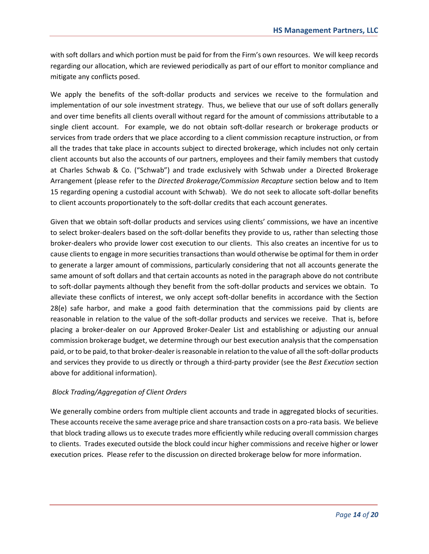with soft dollars and which portion must be paid for from the Firm's own resources. We will keep records regarding our allocation, which are reviewed periodically as part of our effort to monitor compliance and mitigate any conflicts posed.

We apply the benefits of the soft-dollar products and services we receive to the formulation and implementation of our sole investment strategy. Thus, we believe that our use of soft dollars generally and over time benefits all clients overall without regard for the amount of commissions attributable to a single client account. For example, we do not obtain soft-dollar research or brokerage products or services from trade orders that we place according to a client commission recapture instruction, or from all the trades that take place in accounts subject to directed brokerage, which includes not only certain client accounts but also the accounts of our partners, employees and their family members that custody at Charles Schwab & Co. ("Schwab") and trade exclusively with Schwab under a Directed Brokerage Arrangement (please refer to the *Directed Brokerage/Commission Recapture* section below and to Item 15 regarding opening a custodial account with Schwab). We do not seek to allocate soft-dollar benefits to client accounts proportionately to the soft-dollar credits that each account generates.

Given that we obtain soft-dollar products and services using clients' commissions, we have an incentive to select broker-dealers based on the soft-dollar benefits they provide to us, rather than selecting those broker-dealers who provide lower cost execution to our clients. This also creates an incentive for us to cause clients to engage in more securities transactions than would otherwise be optimal for them in order to generate a larger amount of commissions, particularly considering that not all accounts generate the same amount of soft dollars and that certain accounts as noted in the paragraph above do not contribute to soft-dollar payments although they benefit from the soft-dollar products and services we obtain. To alleviate these conflicts of interest, we only accept soft-dollar benefits in accordance with the Section 28(e) safe harbor, and make a good faith determination that the commissions paid by clients are reasonable in relation to the value of the soft-dollar products and services we receive. That is, before placing a broker-dealer on our Approved Broker-Dealer List and establishing or adjusting our annual commission brokerage budget, we determine through our best execution analysis that the compensation paid, or to be paid, to that broker-dealer is reasonable in relation to the value of all the soft-dollar products and services they provide to us directly or through a third-party provider (see the *Best Execution* section above for additional information).

#### *Block Trading/Aggregation of Client Orders*

We generally combine orders from multiple client accounts and trade in aggregated blocks of securities. These accounts receive the same average price and share transaction costs on a pro-rata basis. We believe that block trading allows us to execute trades more efficiently while reducing overall commission charges to clients. Trades executed outside the block could incur higher commissions and receive higher or lower execution prices. Please refer to the discussion on directed brokerage below for more information.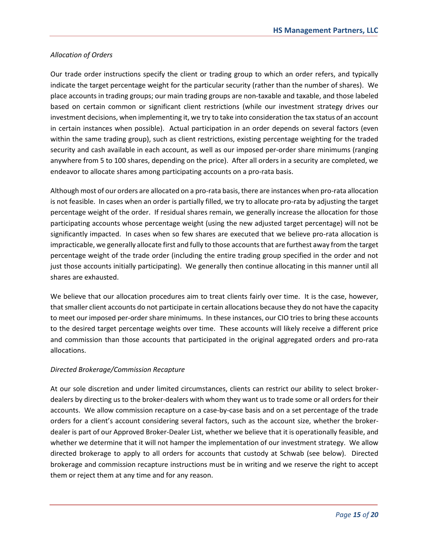#### *Allocation of Orders*

Our trade order instructions specify the client or trading group to which an order refers, and typically indicate the target percentage weight for the particular security (rather than the number of shares). We place accounts in trading groups; our main trading groups are non-taxable and taxable, and those labeled based on certain common or significant client restrictions (while our investment strategy drives our investment decisions, when implementing it, we try to take into consideration the tax status of an account in certain instances when possible). Actual participation in an order depends on several factors (even within the same trading group), such as client restrictions, existing percentage weighting for the traded security and cash available in each account, as well as our imposed per-order share minimums (ranging anywhere from 5 to 100 shares, depending on the price). After all orders in a security are completed, we endeavor to allocate shares among participating accounts on a pro-rata basis.

Although most of our orders are allocated on a pro-rata basis, there are instances when pro-rata allocation is not feasible. In cases when an order is partially filled, we try to allocate pro-rata by adjusting the target percentage weight of the order. If residual shares remain, we generally increase the allocation for those participating accounts whose percentage weight (using the new adjusted target percentage) will not be significantly impacted. In cases when so few shares are executed that we believe pro-rata allocation is impracticable, we generally allocate first and fully to those accounts that are furthest away from the target percentage weight of the trade order (including the entire trading group specified in the order and not just those accounts initially participating). We generally then continue allocating in this manner until all shares are exhausted.

We believe that our allocation procedures aim to treat clients fairly over time. It is the case, however, that smaller client accounts do not participate in certain allocations because they do not have the capacity to meet our imposed per-order share minimums. In these instances, our CIO tries to bring these accounts to the desired target percentage weights over time. These accounts will likely receive a different price and commission than those accounts that participated in the original aggregated orders and pro-rata allocations.

#### *Directed Brokerage/Commission Recapture*

At our sole discretion and under limited circumstances, clients can restrict our ability to select brokerdealers by directing us to the broker-dealers with whom they want us to trade some or all orders for their accounts. We allow commission recapture on a case-by-case basis and on a set percentage of the trade orders for a client's account considering several factors, such as the account size, whether the brokerdealer is part of our Approved Broker-Dealer List, whether we believe that it is operationally feasible, and whether we determine that it will not hamper the implementation of our investment strategy. We allow directed brokerage to apply to all orders for accounts that custody at Schwab (see below). Directed brokerage and commission recapture instructions must be in writing and we reserve the right to accept them or reject them at any time and for any reason.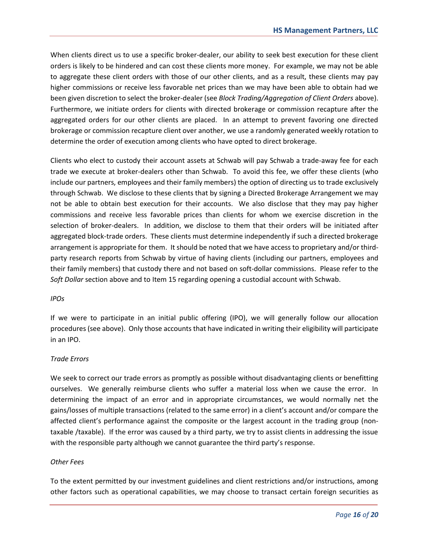When clients direct us to use a specific broker-dealer, our ability to seek best execution for these client orders is likely to be hindered and can cost these clients more money. For example, we may not be able to aggregate these client orders with those of our other clients, and as a result, these clients may pay higher commissions or receive less favorable net prices than we may have been able to obtain had we been given discretion to select the broker-dealer (see *Block Trading/Aggregation of Client Orders* above). Furthermore, we initiate orders for clients with directed brokerage or commission recapture after the aggregated orders for our other clients are placed. In an attempt to prevent favoring one directed brokerage or commission recapture client over another, we use a randomly generated weekly rotation to determine the order of execution among clients who have opted to direct brokerage.

Clients who elect to custody their account assets at Schwab will pay Schwab a trade-away fee for each trade we execute at broker-dealers other than Schwab. To avoid this fee, we offer these clients (who include our partners, employees and their family members) the option of directing us to trade exclusively through Schwab. We disclose to these clients that by signing a Directed Brokerage Arrangement we may not be able to obtain best execution for their accounts. We also disclose that they may pay higher commissions and receive less favorable prices than clients for whom we exercise discretion in the selection of broker-dealers. In addition, we disclose to them that their orders will be initiated after aggregated block-trade orders. These clients must determine independently if such a directed brokerage arrangement is appropriate for them. It should be noted that we have access to proprietary and/or thirdparty research reports from Schwab by virtue of having clients (including our partners, employees and their family members) that custody there and not based on soft-dollar commissions. Please refer to the *Soft Dollar* section above and to Item 15 regarding opening a custodial account with Schwab.

#### *IPOs*

If we were to participate in an initial public offering (IPO), we will generally follow our allocation procedures (see above). Only those accounts that have indicated in writing their eligibility will participate in an IPO.

#### *Trade Errors*

We seek to correct our trade errors as promptly as possible without disadvantaging clients or benefitting ourselves. We generally reimburse clients who suffer a material loss when we cause the error. In determining the impact of an error and in appropriate circumstances, we would normally net the gains/losses of multiple transactions (related to the same error) in a client's account and/or compare the affected client's performance against the composite or the largest account in the trading group (nontaxable /taxable). If the error was caused by a third party, we try to assist clients in addressing the issue with the responsible party although we cannot guarantee the third party's response.

#### *Other Fees*

To the extent permitted by our investment guidelines and client restrictions and/or instructions, among other factors such as operational capabilities, we may choose to transact certain foreign securities as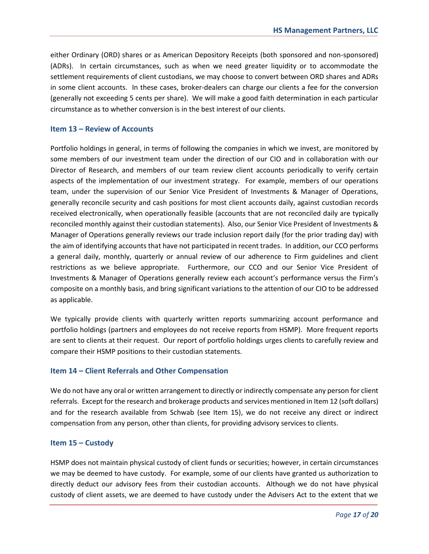either Ordinary (ORD) shares or as American Depository Receipts (both sponsored and non-sponsored) (ADRs). In certain circumstances, such as when we need greater liquidity or to accommodate the settlement requirements of client custodians, we may choose to convert between ORD shares and ADRs in some client accounts. In these cases, broker-dealers can charge our clients a fee for the conversion (generally not exceeding 5 cents per share). We will make a good faith determination in each particular circumstance as to whether conversion is in the best interest of our clients.

#### **Item 13 – Review of Accounts**

Portfolio holdings in general, in terms of following the companies in which we invest, are monitored by some members of our investment team under the direction of our CIO and in collaboration with our Director of Research, and members of our team review client accounts periodically to verify certain aspects of the implementation of our investment strategy. For example, members of our operations team, under the supervision of our Senior Vice President of Investments & Manager of Operations, generally reconcile security and cash positions for most client accounts daily, against custodian records received electronically, when operationally feasible (accounts that are not reconciled daily are typically reconciled monthly against their custodian statements). Also, our Senior Vice President of Investments & Manager of Operations generally reviews our trade inclusion report daily (for the prior trading day) with the aim of identifying accounts that have not participated in recent trades. In addition, our CCO performs a general daily, monthly, quarterly or annual review of our adherence to Firm guidelines and client restrictions as we believe appropriate. Furthermore, our CCO and our Senior Vice President of Investments & Manager of Operations generally review each account's performance versus the Firm's composite on a monthly basis, and bring significant variations to the attention of our CIO to be addressed as applicable.

We typically provide clients with quarterly written reports summarizing account performance and portfolio holdings (partners and employees do not receive reports from HSMP). More frequent reports are sent to clients at their request. Our report of portfolio holdings urges clients to carefully review and compare their HSMP positions to their custodian statements.

#### **Item 14 – Client Referrals and Other Compensation**

We do not have any oral or written arrangement to directly or indirectly compensate any person for client referrals. Except for the research and brokerage products and services mentioned in Item 12 (soft dollars) and for the research available from Schwab (see Item 15), we do not receive any direct or indirect compensation from any person, other than clients, for providing advisory services to clients.

#### **Item 15 – Custody**

HSMP does not maintain physical custody of client funds or securities; however, in certain circumstances we may be deemed to have custody. For example, some of our clients have granted us authorization to directly deduct our advisory fees from their custodian accounts. Although we do not have physical custody of client assets, we are deemed to have custody under the Advisers Act to the extent that we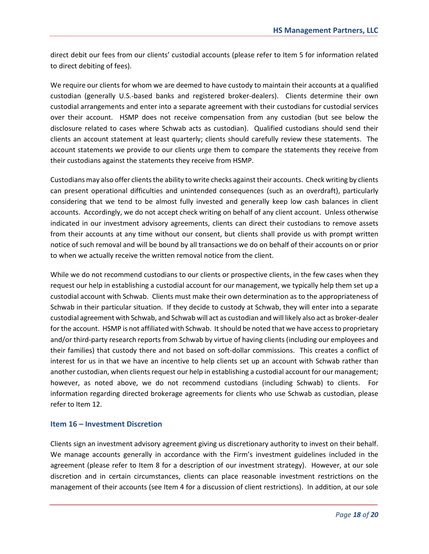direct debit our fees from our clients' custodial accounts (please refer to Item 5 for information related to direct debiting of fees).

We require our clients for whom we are deemed to have custody to maintain their accounts at a qualified custodian (generally U.S.-based banks and registered broker-dealers). Clients determine their own custodial arrangements and enter into a separate agreement with their custodians for custodial services over their account. HSMP does not receive compensation from any custodian (but see below the disclosure related to cases where Schwab acts as custodian). Qualified custodians should send their clients an account statement at least quarterly; clients should carefully review these statements. The account statements we provide to our clients urge them to compare the statements they receive from their custodians against the statements they receive from HSMP.

Custodians may also offer clients the ability to write checks against their accounts. Check writing by clients can present operational difficulties and unintended consequences (such as an overdraft), particularly considering that we tend to be almost fully invested and generally keep low cash balances in client accounts. Accordingly, we do not accept check writing on behalf of any client account. Unless otherwise indicated in our investment advisory agreements, clients can direct their custodians to remove assets from their accounts at any time without our consent, but clients shall provide us with prompt written notice of such removal and will be bound by all transactions we do on behalf of their accounts on or prior to when we actually receive the written removal notice from the client.

While we do not recommend custodians to our clients or prospective clients, in the few cases when they request our help in establishing a custodial account for our management, we typically help them set up a custodial account with Schwab. Clients must make their own determination as to the appropriateness of Schwab in their particular situation. If they decide to custody at Schwab, they will enter into a separate custodial agreement with Schwab, and Schwab will act as custodian and will likely also act as broker-dealer for the account. HSMP is not affiliated with Schwab. It should be noted that we have access to proprietary and/or third-party research reports from Schwab by virtue of having clients (including our employees and their families) that custody there and not based on soft-dollar commissions. This creates a conflict of interest for us in that we have an incentive to help clients set up an account with Schwab rather than another custodian, when clients request our help in establishing a custodial account for our management; however, as noted above, we do not recommend custodians (including Schwab) to clients. For information regarding directed brokerage agreements for clients who use Schwab as custodian, please refer to Item 12.

#### **Item 16 – Investment Discretion**

Clients sign an investment advisory agreement giving us discretionary authority to invest on their behalf. We manage accounts generally in accordance with the Firm's investment guidelines included in the agreement (please refer to Item 8 for a description of our investment strategy). However, at our sole discretion and in certain circumstances, clients can place reasonable investment restrictions on the management of their accounts (see Item 4 for a discussion of client restrictions). In addition, at our sole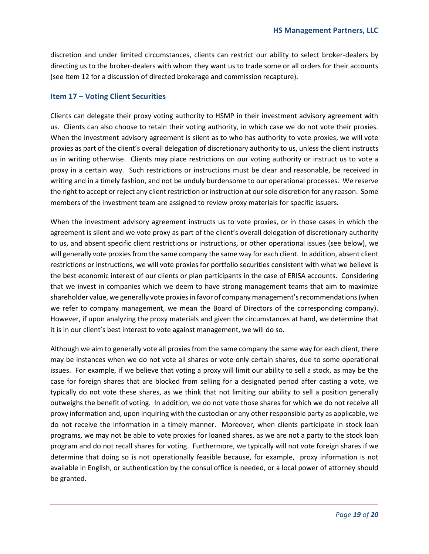discretion and under limited circumstances, clients can restrict our ability to select broker-dealers by directing us to the broker-dealers with whom they want us to trade some or all orders for their accounts (see Item 12 for a discussion of directed brokerage and commission recapture).

#### **Item 17 – Voting Client Securities**

Clients can delegate their proxy voting authority to HSMP in their investment advisory agreement with us. Clients can also choose to retain their voting authority, in which case we do not vote their proxies. When the investment advisory agreement is silent as to who has authority to vote proxies, we will vote proxies as part of the client's overall delegation of discretionary authority to us, unless the client instructs us in writing otherwise. Clients may place restrictions on our voting authority or instruct us to vote a proxy in a certain way. Such restrictions or instructions must be clear and reasonable, be received in writing and in a timely fashion, and not be unduly burdensome to our operational processes. We reserve the right to accept or reject any client restriction or instruction at our sole discretion for any reason. Some members of the investment team are assigned to review proxy materials for specific issuers.

When the investment advisory agreement instructs us to vote proxies, or in those cases in which the agreement is silent and we vote proxy as part of the client's overall delegation of discretionary authority to us, and absent specific client restrictions or instructions, or other operational issues (see below), we will generally vote proxies from the same company the same way for each client. In addition, absent client restrictions or instructions, we will vote proxies for portfolio securities consistent with what we believe is the best economic interest of our clients or plan participants in the case of ERISA accounts. Considering that we invest in companies which we deem to have strong management teams that aim to maximize shareholder value, we generally vote proxies in favor of company management's recommendations(when we refer to company management, we mean the Board of Directors of the corresponding company). However, if upon analyzing the proxy materials and given the circumstances at hand, we determine that it is in our client's best interest to vote against management, we will do so.

Although we aim to generally vote all proxies from the same company the same way for each client, there may be instances when we do not vote all shares or vote only certain shares, due to some operational issues. For example, if we believe that voting a proxy will limit our ability to sell a stock, as may be the case for foreign shares that are blocked from selling for a designated period after casting a vote, we typically do not vote these shares, as we think that not limiting our ability to sell a position generally outweighs the benefit of voting. In addition, we do not vote those shares for which we do not receive all proxy information and, upon inquiring with the custodian or any other responsible party as applicable, we do not receive the information in a timely manner. Moreover, when clients participate in stock loan programs, we may not be able to vote proxies for loaned shares, as we are not a party to the stock loan program and do not recall shares for voting. Furthermore, we typically will not vote foreign shares if we determine that doing so is not operationally feasible because, for example, proxy information is not available in English, or authentication by the consul office is needed, or a local power of attorney should be granted.